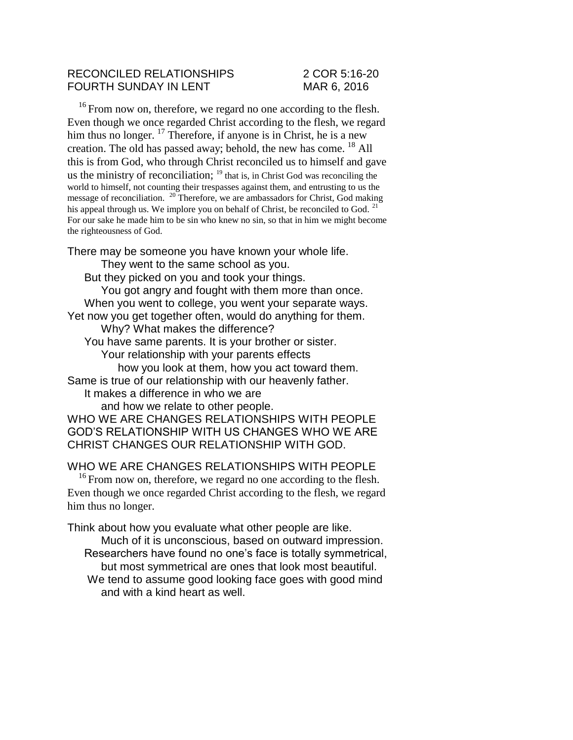## RECONCILED RELATIONSHIPS 2 COR 5:16-20 FOURTH SUNDAY IN LENT MAR 6, 2016

<sup>16</sup> From now on, therefore, we regard no one according to the flesh. Even though we once regarded Christ according to the flesh, we regard him thus no longer.  $^{17}$  Therefore, if anyone is in Christ, he is a new creation. The old has passed away; behold, the new has come.  $^{18}$  All this is from God, who through Christ reconciled us to himself and gave us the ministry of reconciliation;  $19$  that is, in Christ God was reconciling the world to himself, not counting their trespasses against them, and entrusting to us the message of reconciliation. <sup>20</sup> Therefore, we are ambassadors for Christ, God making his appeal through us. We implore you on behalf of Christ, be reconciled to God.  $^{21}$ For our sake he made him to be sin who knew no sin, so that in him we might become the righteousness of God.

There may be someone you have known your whole life. They went to the same school as you. But they picked on you and took your things. You got angry and fought with them more than once. When you went to college, you went your separate ways. Yet now you get together often, would do anything for them. Why? What makes the difference? You have same parents. It is your brother or sister. Your relationship with your parents effects how you look at them, how you act toward them. Same is true of our relationship with our heavenly father. It makes a difference in who we are and how we relate to other people. WHO WE ARE CHANGES RELATIONSHIPS WITH PEOPLE GOD'S RELATIONSHIP WITH US CHANGES WHO WE ARE CHRIST CHANGES OUR RELATIONSHIP WITH GOD.

WHO WE ARE CHANGES RELATIONSHIPS WITH PEOPLE

 $16$  From now on, therefore, we regard no one according to the flesh. Even though we once regarded Christ according to the flesh, we regard him thus no longer.

Think about how you evaluate what other people are like. Much of it is unconscious, based on outward impression. Researchers have found no one's face is totally symmetrical, but most symmetrical are ones that look most beautiful. We tend to assume good looking face goes with good mind and with a kind heart as well.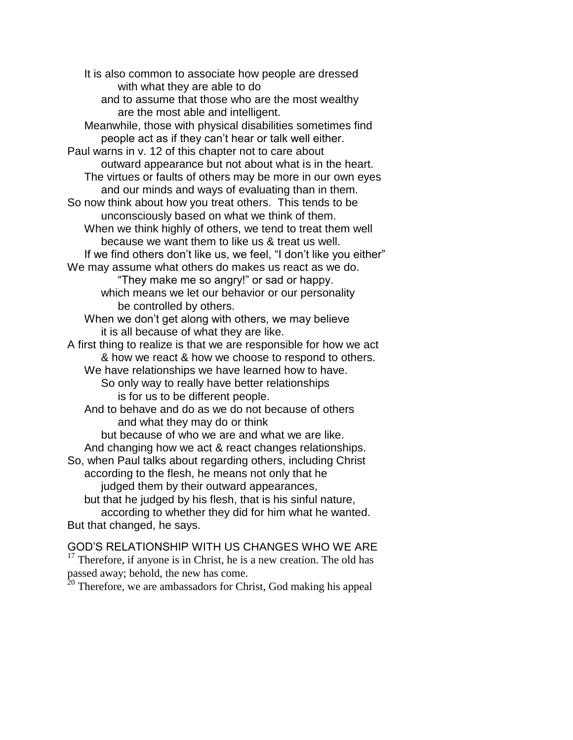It is also common to associate how people are dressed with what they are able to do and to assume that those who are the most wealthy are the most able and intelligent. Meanwhile, those with physical disabilities sometimes find people act as if they can't hear or talk well either. Paul warns in v. 12 of this chapter not to care about outward appearance but not about what is in the heart. The virtues or faults of others may be more in our own eyes and our minds and ways of evaluating than in them. So now think about how you treat others. This tends to be unconsciously based on what we think of them. When we think highly of others, we tend to treat them well because we want them to like us & treat us well. If we find others don't like us, we feel, "I don't like you either" We may assume what others do makes us react as we do. "They make me so angry!" or sad or happy. which means we let our behavior or our personality be controlled by others. When we don't get along with others, we may believe it is all because of what they are like. A first thing to realize is that we are responsible for how we act & how we react & how we choose to respond to others. We have relationships we have learned how to have. So only way to really have better relationships is for us to be different people. And to behave and do as we do not because of others and what they may do or think but because of who we are and what we are like. And changing how we act & react changes relationships. So, when Paul talks about regarding others, including Christ according to the flesh, he means not only that he judged them by their outward appearances, but that he judged by his flesh, that is his sinful nature, according to whether they did for him what he wanted. But that changed, he says.

GOD'S RELATIONSHIP WITH US CHANGES WHO WE ARE  $17$  Therefore, if anyone is in Christ, he is a new creation. The old has passed away; behold, the new has come.

 $20$  Therefore, we are ambassadors for Christ, God making his appeal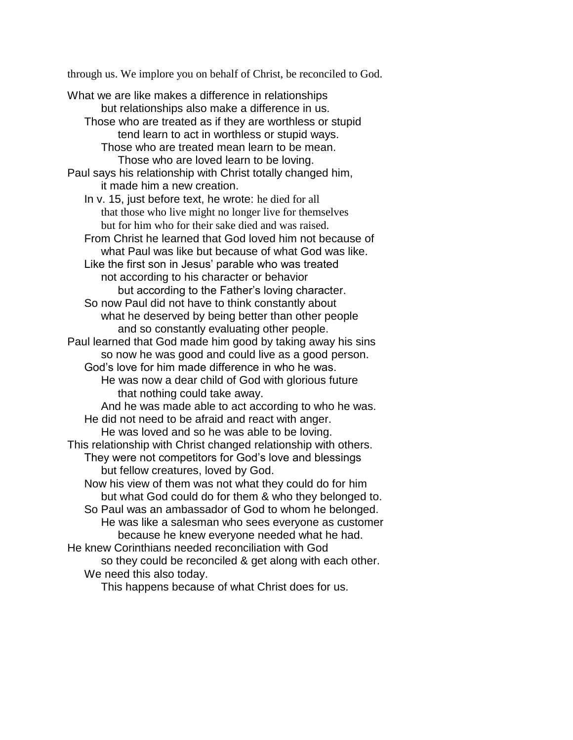through us. We implore you on behalf of Christ, be reconciled to God.

What we are like makes a difference in relationships but relationships also make a difference in us. Those who are treated as if they are worthless or stupid tend learn to act in worthless or stupid ways. Those who are treated mean learn to be mean. Those who are loved learn to be loving. Paul says his relationship with Christ totally changed him, it made him a new creation. In v. 15, just before text, he wrote: he died for all that those who live might no longer live for themselves but for him who for their sake died and was raised. From Christ he learned that God loved him not because of what Paul was like but because of what God was like. Like the first son in Jesus' parable who was treated not according to his character or behavior but according to the Father's loving character. So now Paul did not have to think constantly about what he deserved by being better than other people and so constantly evaluating other people. Paul learned that God made him good by taking away his sins so now he was good and could live as a good person. God's love for him made difference in who he was. He was now a dear child of God with glorious future that nothing could take away. And he was made able to act according to who he was. He did not need to be afraid and react with anger. He was loved and so he was able to be loving. This relationship with Christ changed relationship with others. They were not competitors for God's love and blessings but fellow creatures, loved by God. Now his view of them was not what they could do for him but what God could do for them & who they belonged to. So Paul was an ambassador of God to whom he belonged. He was like a salesman who sees everyone as customer because he knew everyone needed what he had. He knew Corinthians needed reconciliation with God

so they could be reconciled & get along with each other. We need this also today.

This happens because of what Christ does for us.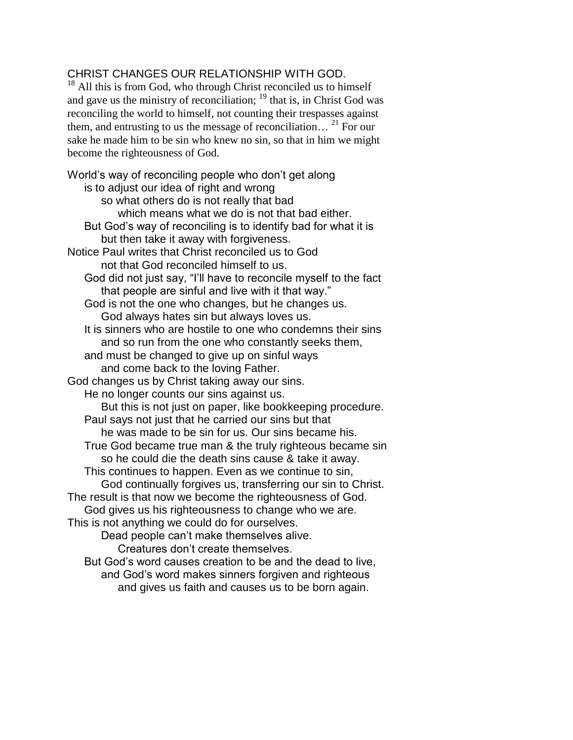## CHRIST CHANGES OUR RELATIONSHIP WITH GOD.

 $18$  All this is from God, who through Christ reconciled us to himself and gave us the ministry of reconciliation;  $19$  that is, in Christ God was reconciling the world to himself, not counting their trespasses against them, and entrusting to us the message of reconciliation… <sup>21</sup> For our sake he made him to be sin who knew no sin, so that in him we might become the righteousness of God.

World's way of reconciling people who don't get along is to adjust our idea of right and wrong so what others do is not really that bad which means what we do is not that bad either. But God's way of reconciling is to identify bad for what it is but then take it away with forgiveness. Notice Paul writes that Christ reconciled us to God not that God reconciled himself to us. God did not just say, "I'll have to reconcile myself to the fact that people are sinful and live with it that way." God is not the one who changes, but he changes us. God always hates sin but always loves us. It is sinners who are hostile to one who condemns their sins and so run from the one who constantly seeks them, and must be changed to give up on sinful ways and come back to the loving Father. God changes us by Christ taking away our sins. He no longer counts our sins against us. But this is not just on paper, like bookkeeping procedure. Paul says not just that he carried our sins but that he was made to be sin for us. Our sins became his. True God became true man & the truly righteous became sin so he could die the death sins cause & take it away. This continues to happen. Even as we continue to sin, God continually forgives us, transferring our sin to Christ. The result is that now we become the righteousness of God. God gives us his righteousness to change who we are. This is not anything we could do for ourselves. Dead people can't make themselves alive. Creatures don't create themselves. But God's word causes creation to be and the dead to live, and God's word makes sinners forgiven and righteous

and gives us faith and causes us to be born again.